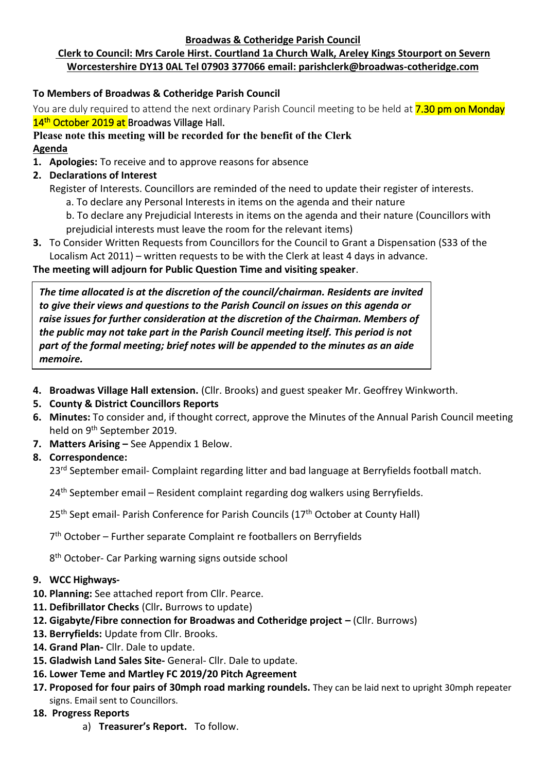#### **Broadwas & Cotheridge Parish Council**

# **Clerk to Council: Mrs Carole Hirst. Courtland 1a Church Walk, Areley Kings Stourport on Severn Worcestershire DY13 0AL Tel 07903 377066 email: parishclerk@broadwas-cotheridge.com**

## **To Members of Broadwas & Cotheridge Parish Council**

You are duly required to attend the next ordinary Parish Council meeting to be held at **7.30 pm on Monday** 14<sup>th</sup> October 2019 at Broadwas Village Hall.

# **Please note this meeting will be recorded for the benefit of the Clerk Agenda**

- **1. Apologies:** To receive and to approve reasons for absence
- **2. Declarations of Interest**
	- Register of Interests. Councillors are reminded of the need to update their register of interests.
		- a. To declare any Personal Interests in items on the agenda and their nature
		- b. To declare any Prejudicial Interests in items on the agenda and their nature (Councillors with prejudicial interests must leave the room for the relevant items)
- **3.** To Consider Written Requests from Councillors for the Council to Grant a Dispensation (S33 of the Localism Act 2011) – written requests to be with the Clerk at least 4 days in advance.

#### **The meeting will adjourn for Public Question Time and visiting speaker**.

*The time allocated is at the discretion of the council/chairman. Residents are invited to give their views and questions to the Parish Council on issues on this agenda or raise issues for further consideration at the discretion of the Chairman. Members of the public may not take part in the Parish Council meeting itself. This period is not part of the formal meeting; brief notes will be appended to the minutes as an aide memoire.*

- **4. Broadwas Village Hall extension.** (Cllr. Brooks) and guest speaker Mr. Geoffrey Winkworth.
- **5. County & District Councillors Reports**
- **6. Minutes:** To consider and, if thought correct, approve the Minutes of the Annual Parish Council meeting held on 9<sup>th</sup> September 2019.
- **7. Matters Arising –** See Appendix 1 Below.
- **8. Correspondence:**

23<sup>rd</sup> September email- Complaint regarding litter and bad language at Berryfields football match.

24<sup>th</sup> September email – Resident complaint regarding dog walkers using Berryfields.

25<sup>th</sup> Sept email- Parish Conference for Parish Councils (17<sup>th</sup> October at County Hall)

7<sup>th</sup> October - Further separate Complaint re footballers on Berryfields

8<sup>th</sup> October- Car Parking warning signs outside school

#### **9. WCC Highways-**

- **10. Planning:** See attached report from Cllr. Pearce.
- **11. Defibrillator Checks** (Cllr**.** Burrows to update)
- **12. Gigabyte/Fibre connection for Broadwas and Cotheridge project –** (Cllr. Burrows)
- **13. Berryfields:** Update from Cllr. Brooks.
- **14. Grand Plan-** Cllr. Dale to update.
- **15. Gladwish Land Sales Site-** General- Cllr. Dale to update.
- **16. Lower Teme and Martley FC 2019/20 Pitch Agreement**
- **17. Proposed for four pairs of 30mph road marking roundels.** They can be laid next to upright 30mph repeater signs. Email sent to Councillors.
- **18. Progress Reports**
	- a) **Treasurer's Report.** To follow.